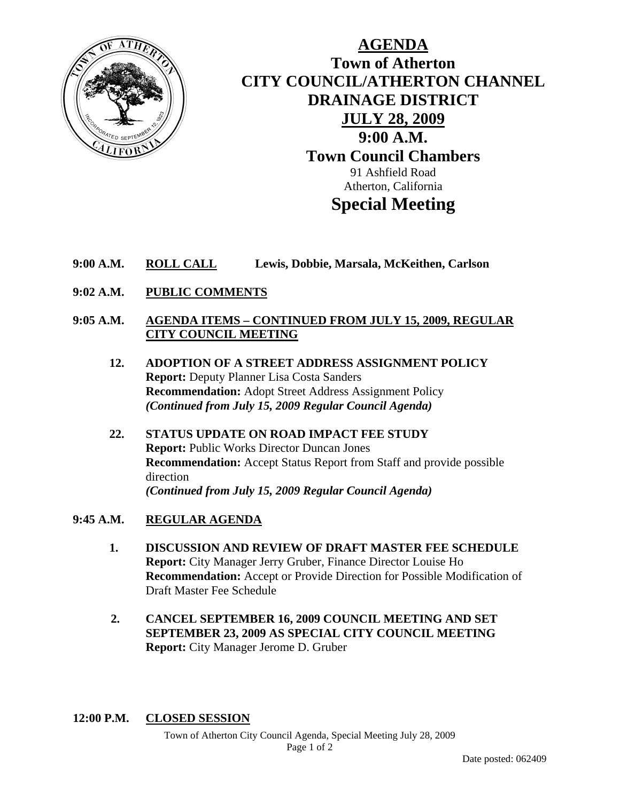

### **AGENDA Town of Atherton CITY COUNCIL/ATHERTON CHANNEL DRAINAGE DISTRICT JULY 28, 2009 9:00 A.M. Town Council Chambers**  91 Ashfield Road Atherton, California **Special Meeting**

- **9:00 A.M. ROLL CALL Lewis, Dobbie, Marsala, McKeithen, Carlson**
- **9:02 A.M. PUBLIC COMMENTS**

#### **9:05 A.M. AGENDA ITEMS – CONTINUED FROM JULY 15, 2009, REGULAR CITY COUNCIL MEETING**

- **12. ADOPTION OF A STREET ADDRESS ASSIGNMENT POLICY Report:** Deputy Planner Lisa Costa Sanders **Recommendation:** Adopt Street Address Assignment Policy *(Continued from July 15, 2009 Regular Council Agenda)*
- **22. STATUS UPDATE ON ROAD IMPACT FEE STUDY Report:** Public Works Director Duncan Jones **Recommendation:** Accept Status Report from Staff and provide possible direction *(Continued from July 15, 2009 Regular Council Agenda)*

#### **9:45 A.M. REGULAR AGENDA**

- **1. DISCUSSION AND REVIEW OF DRAFT MASTER FEE SCHEDULE Report:** City Manager Jerry Gruber, Finance Director Louise Ho **Recommendation:** Accept or Provide Direction for Possible Modification of Draft Master Fee Schedule
- **2. CANCEL SEPTEMBER 16, 2009 COUNCIL MEETING AND SET SEPTEMBER 23, 2009 AS SPECIAL CITY COUNCIL MEETING Report:** City Manager Jerome D. Gruber

#### **12:00 P.M. CLOSED SESSION**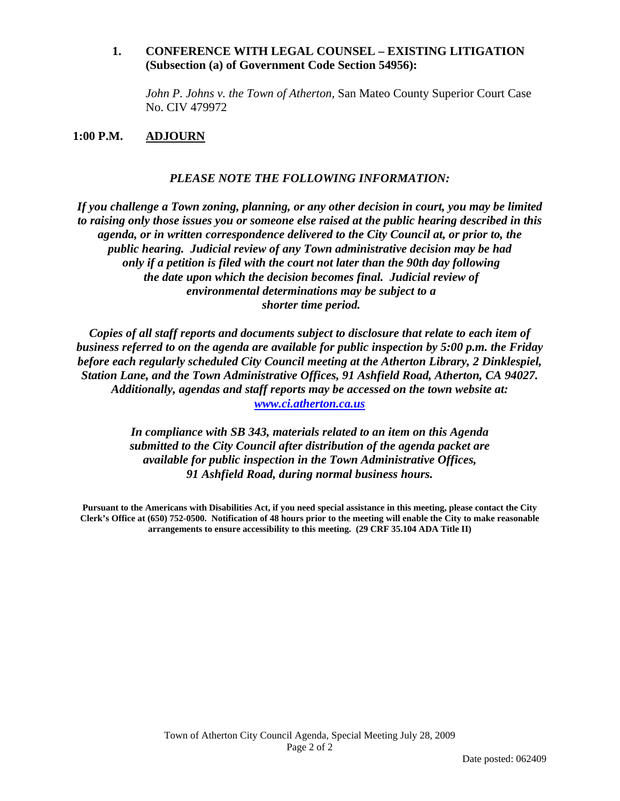#### **1. CONFERENCE WITH LEGAL COUNSEL – EXISTING LITIGATION (Subsection (a) of Government Code Section 54956):**

 *John P. Johns v. the Town of Atherton,* San Mateo County Superior Court Case No. CIV 479972

#### **1:00 P.M. ADJOURN**

#### *PLEASE NOTE THE FOLLOWING INFORMATION:*

*If you challenge a Town zoning, planning, or any other decision in court, you may be limited to raising only those issues you or someone else raised at the public hearing described in this agenda, or in written correspondence delivered to the City Council at, or prior to, the public hearing. Judicial review of any Town administrative decision may be had only if a petition is filed with the court not later than the 90th day following the date upon which the decision becomes final. Judicial review of environmental determinations may be subject to a shorter time period.* 

*Copies of all staff reports and documents subject to disclosure that relate to each item of business referred to on the agenda are available for public inspection by 5:00 p.m. the Friday before each regularly scheduled City Council meeting at the Atherton Library, 2 Dinklespiel, Station Lane, and the Town Administrative Offices, 91 Ashfield Road, Atherton, CA 94027. Additionally, agendas and staff reports may be accessed on the town website at: www.ci.atherton.ca.us* 

> *In compliance with SB 343, materials related to an item on this Agenda submitted to the City Council after distribution of the agenda packet are available for public inspection in the Town Administrative Offices, 91 Ashfield Road, during normal business hours.*

**Pursuant to the Americans with Disabilities Act, if you need special assistance in this meeting, please contact the City Clerk's Office at (650) 752-0500. Notification of 48 hours prior to the meeting will enable the City to make reasonable arrangements to ensure accessibility to this meeting. (29 CRF 35.104 ADA Title II)**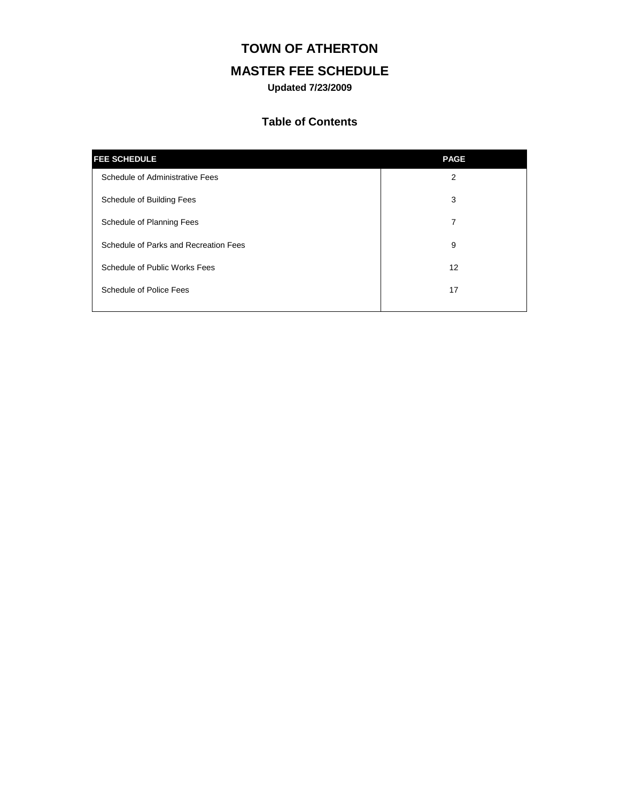### **TOWN OF ATHERTON**

### **MASTER FEE SCHEDULE**

**Updated 7/23/2009**

#### **Table of Contents**

| <b>FEE SCHEDULE</b>                   | <b>PAGE</b> |
|---------------------------------------|-------------|
| Schedule of Administrative Fees       | 2           |
| Schedule of Building Fees             | 3           |
| Schedule of Planning Fees             | 7           |
| Schedule of Parks and Recreation Fees | 9           |
| Schedule of Public Works Fees         | 12          |
| <b>Schedule of Police Fees</b>        | 17          |
|                                       |             |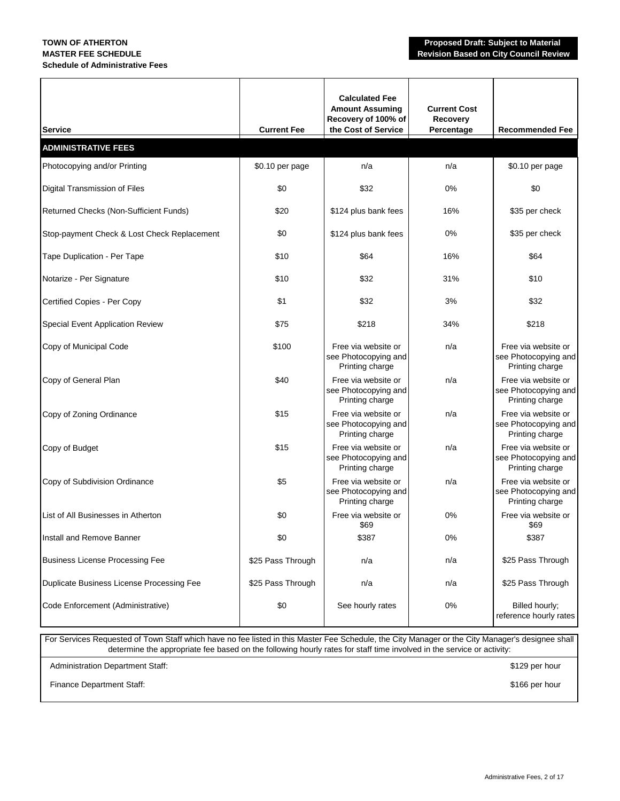## **Schedule of Administrative Fees**

| <b>Service</b>                              | <b>Current Fee</b> | <b>Calculated Fee</b><br><b>Amount Assuming</b><br>Recovery of 100% of<br>the Cost of Service | <b>Current Cost</b><br><b>Recovery</b><br>Percentage | <b>Recommended Fee</b>                                         |
|---------------------------------------------|--------------------|-----------------------------------------------------------------------------------------------|------------------------------------------------------|----------------------------------------------------------------|
| <b>ADMINISTRATIVE FEES</b>                  |                    |                                                                                               |                                                      |                                                                |
| Photocopying and/or Printing                | \$0.10 per page    | n/a                                                                                           | n/a                                                  | \$0.10 per page                                                |
| Digital Transmission of Files               | \$0                | \$32                                                                                          | 0%                                                   | \$0                                                            |
| Returned Checks (Non-Sufficient Funds)      | \$20               | \$124 plus bank fees                                                                          | 16%                                                  | \$35 per check                                                 |
| Stop-payment Check & Lost Check Replacement | \$0                | \$124 plus bank fees                                                                          | 0%                                                   | \$35 per check                                                 |
| Tape Duplication - Per Tape                 | \$10               | \$64                                                                                          | 16%                                                  | \$64                                                           |
| Notarize - Per Signature                    | \$10               | \$32                                                                                          | 31%                                                  | \$10                                                           |
| Certified Copies - Per Copy                 | \$1                | \$32                                                                                          | 3%                                                   | \$32                                                           |
| Special Event Application Review            | \$75               | \$218                                                                                         | 34%                                                  | \$218                                                          |
| Copy of Municipal Code                      | \$100              | Free via website or<br>see Photocopying and<br>Printing charge                                | n/a                                                  | Free via website or<br>see Photocopying and<br>Printing charge |
| Copy of General Plan                        | \$40               | Free via website or<br>see Photocopying and<br>Printing charge                                | n/a                                                  | Free via website or<br>see Photocopying and<br>Printing charge |
| Copy of Zoning Ordinance                    | \$15               | Free via website or<br>see Photocopying and<br>Printing charge                                | n/a                                                  | Free via website or<br>see Photocopying and<br>Printing charge |
| Copy of Budget                              | \$15               | Free via website or<br>see Photocopying and<br>Printing charge                                | n/a                                                  | Free via website or<br>see Photocopying and<br>Printing charge |
| Copy of Subdivision Ordinance               | \$5                | Free via website or<br>see Photocopying and<br>Printing charge                                | n/a                                                  | Free via website or<br>see Photocopying and<br>Printing charge |
| List of All Businesses in Atherton          | \$0                | Free via website or<br>\$69                                                                   | $0\%$                                                | Free via website or<br>\$69                                    |
| Install and Remove Banner                   | \$0                | \$387                                                                                         | $0\%$                                                | \$387                                                          |
| <b>Business License Processing Fee</b>      | \$25 Pass Through  | n/a                                                                                           | n/a                                                  | \$25 Pass Through                                              |
| Duplicate Business License Processing Fee   | \$25 Pass Through  | n/a                                                                                           | n/a                                                  | \$25 Pass Through                                              |
| Code Enforcement (Administrative)           | \$0                | See hourly rates                                                                              | 0%                                                   | Billed hourly;<br>reference hourly rates                       |

For Services Requested of Town Staff which have no fee listed in this Master Fee Schedule, the City Manager or the City Manager's designee shall determine the appropriate fee based on the following hourly rates for staff time involved in the service or activity: Administration Department Staff: \$129 per hour

Finance Department Staff: \$166 per hour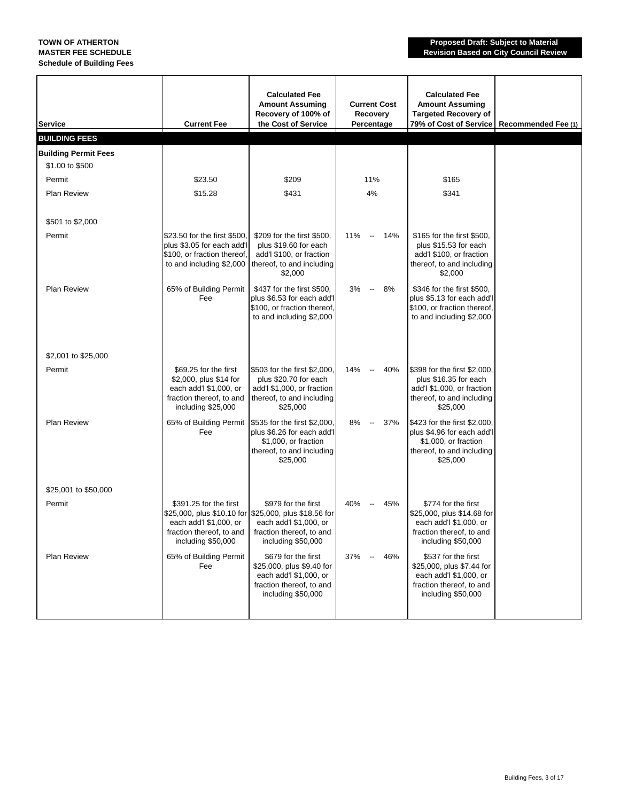**Schedule of Building Fees**

**TOWN OF ATHERTON Proposed Draft: Subject to Material MASTER FEE SCHEDULE Revision Based on City Council Review**

| <b>Service</b>              | <b>Current Fee</b>                                                                                                          | <b>Calculated Fee</b><br><b>Amount Assuming</b><br>Recovery of 100% of<br>the Cost of Service                                                            | <b>Current Cost</b><br>Recovery<br>Percentage | <b>Calculated Fee</b><br><b>Amount Assuming</b><br><b>Targeted Recovery of</b><br>79% of Cost of Service                      | Recommended Fee (1) |
|-----------------------------|-----------------------------------------------------------------------------------------------------------------------------|----------------------------------------------------------------------------------------------------------------------------------------------------------|-----------------------------------------------|-------------------------------------------------------------------------------------------------------------------------------|---------------------|
| <b>BUILDING FEES</b>        |                                                                                                                             |                                                                                                                                                          |                                               |                                                                                                                               |                     |
| <b>Building Permit Fees</b> |                                                                                                                             |                                                                                                                                                          |                                               |                                                                                                                               |                     |
| \$1.00 to \$500             |                                                                                                                             |                                                                                                                                                          |                                               |                                                                                                                               |                     |
| Permit                      | \$23.50                                                                                                                     | \$209                                                                                                                                                    | 11%                                           | \$165                                                                                                                         |                     |
| <b>Plan Review</b>          | \$15.28                                                                                                                     | \$431                                                                                                                                                    | 4%                                            | \$341                                                                                                                         |                     |
| \$501 to \$2,000            |                                                                                                                             |                                                                                                                                                          |                                               |                                                                                                                               |                     |
| Permit                      | \$23.50 for the first \$500,<br>plus \$3.05 for each add'l<br>\$100, or fraction thereof,<br>to and including \$2,000       | \$209 for the first \$500.<br>plus \$19.60 for each<br>add'l \$100, or fraction<br>thereof, to and including<br>\$2,000                                  | 11% -- 14%                                    | \$165 for the first \$500,<br>plus \$15.53 for each<br>add'l \$100, or fraction<br>thereof, to and including<br>\$2,000       |                     |
| <b>Plan Review</b>          | 65% of Building Permit<br>Fee                                                                                               | \$437 for the first \$500,<br>plus \$6.53 for each add'l<br>\$100, or fraction thereof,<br>to and including \$2,000                                      | 3%<br>8%<br>$\sim$                            | \$346 for the first \$500,<br>plus \$5.13 for each add'l<br>\$100, or fraction thereof,<br>to and including \$2,000           |                     |
| \$2,001 to \$25,000         |                                                                                                                             |                                                                                                                                                          |                                               |                                                                                                                               |                     |
| Permit                      | \$69.25 for the first<br>\$2,000, plus \$14 for<br>each add'l \$1,000, or<br>fraction thereof, to and<br>including \$25,000 | \$503 for the first \$2,000,<br>plus \$20.70 for each<br>add'l \$1,000, or fraction<br>thereof, to and including<br>\$25,000                             | 14%<br>40%<br>$\sim$                          | \$398 for the first \$2,000,<br>plus \$16.35 for each<br>add'l \$1,000, or fraction<br>thereof, to and including<br>\$25,000  |                     |
| <b>Plan Review</b>          | Fee                                                                                                                         | 65% of Building Permit   \$535 for the first \$2,000,<br>plus \$6.26 for each add'l<br>\$1,000, or fraction<br>thereof, to and including<br>\$25,000     | 8%<br>37%<br>$\sim$ $-$                       | \$423 for the first \$2,000,<br>plus \$4.96 for each add'l<br>\$1,000, or fraction<br>thereof, to and including<br>\$25,000   |                     |
| \$25,001 to \$50,000        |                                                                                                                             |                                                                                                                                                          |                                               |                                                                                                                               |                     |
| Permit                      | \$391.25 for the first<br>each add'l \$1,000, or<br>fraction thereof, to and<br>including \$50,000                          | \$979 for the first<br>\$25,000, plus \$10.10 for \$25,000, plus \$18.56 for<br>each add'l \$1,000, or<br>fraction thereof, to and<br>including \$50,000 | 40%<br>45%<br>$\overline{\phantom{a}}$        | \$774 for the first<br>\$25,000, plus \$14.68 for<br>each add'l \$1,000, or<br>fraction thereof, to and<br>including \$50,000 |                     |
| <b>Plan Review</b>          | 65% of Building Permit<br>Fee                                                                                               | \$679 for the first<br>\$25,000, plus \$9.40 for<br>each add'l \$1,000, or<br>fraction thereof, to and<br>including \$50,000                             | 46%<br>37%<br>$\overline{\phantom{a}}$        | \$537 for the first<br>\$25,000, plus \$7.44 for<br>each add'l \$1,000, or<br>fraction thereof, to and<br>including \$50,000  |                     |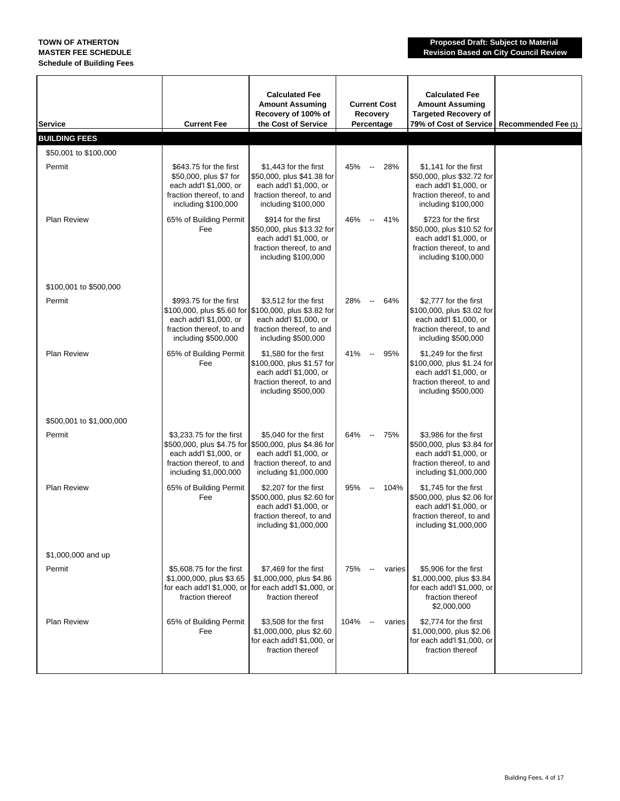| Service                  | <b>Current Fee</b>                                                                                                            | <b>Calculated Fee</b><br><b>Amount Assuming</b><br>Recovery of 100% of<br>the Cost of Service                                                                 | <b>Current Cost</b><br>Recovery<br>Percentage | <b>Calculated Fee</b><br><b>Amount Assuming</b><br><b>Targeted Recovery of</b><br>79% of Cost of Service                           | Recommended Fee (1) |
|--------------------------|-------------------------------------------------------------------------------------------------------------------------------|---------------------------------------------------------------------------------------------------------------------------------------------------------------|-----------------------------------------------|------------------------------------------------------------------------------------------------------------------------------------|---------------------|
| <b>BUILDING FEES</b>     |                                                                                                                               |                                                                                                                                                               |                                               |                                                                                                                                    |                     |
| \$50,001 to \$100,000    |                                                                                                                               |                                                                                                                                                               |                                               |                                                                                                                                    |                     |
| Permit                   | \$643.75 for the first<br>\$50,000, plus \$7 for<br>each add'l \$1,000, or<br>fraction thereof, to and<br>including \$100,000 | \$1,443 for the first<br>\$50,000, plus \$41.38 for<br>each add'l \$1,000, or<br>fraction thereof, to and<br>including \$100,000                              | 45% --<br>28%                                 | \$1,141 for the first<br>\$50,000, plus \$32.72 for<br>each add'l \$1,000, or<br>fraction thereof, to and<br>including \$100,000   |                     |
| <b>Plan Review</b>       | 65% of Building Permit<br>Fee                                                                                                 | \$914 for the first<br>\$50,000, plus \$13.32 for<br>each add'l \$1,000, or<br>fraction thereof, to and<br>including \$100,000                                | 46% -- 41%                                    | \$723 for the first<br>\$50,000, plus \$10.52 for<br>each add'l \$1,000, or<br>fraction thereof, to and<br>including \$100,000     |                     |
| \$100,001 to \$500,000   |                                                                                                                               |                                                                                                                                                               |                                               |                                                                                                                                    |                     |
| Permit                   | \$993.75 for the first<br>each add'l \$1,000, or<br>fraction thereof, to and<br>including \$500,000                           | \$3,512 for the first<br>\$100,000, plus \$5.60 for \$100,000, plus \$3.82 for<br>each add'l \$1,000, or<br>fraction thereof, to and<br>including \$500,000   | 28% -- 64%                                    | \$2,777 for the first<br>\$100,000, plus \$3.02 for<br>each add'l \$1,000, or<br>fraction thereof, to and<br>including \$500,000   |                     |
| <b>Plan Review</b>       | 65% of Building Permit<br>Fee                                                                                                 | \$1,580 for the first<br>\$100,000, plus \$1.57 for<br>each add'l \$1,000, or<br>fraction thereof, to and<br>including \$500,000                              | 41% --<br>95%                                 | \$1,249 for the first<br>\$100,000, plus \$1.24 for<br>each add'l \$1,000, or<br>fraction thereof, to and<br>including \$500,000   |                     |
| \$500,001 to \$1,000,000 |                                                                                                                               |                                                                                                                                                               |                                               |                                                                                                                                    |                     |
| Permit                   | \$3,233.75 for the first<br>each add'l \$1,000, or<br>fraction thereof, to and<br>including \$1,000,000                       | \$5,040 for the first<br>\$500,000, plus \$4.75 for \$500,000, plus \$4.86 for<br>each add'l \$1,000, or<br>fraction thereof, to and<br>including \$1,000,000 | 64% -- 75%                                    | \$3,986 for the first<br>\$500,000, plus \$3.84 for<br>each add'l \$1,000, or<br>fraction thereof, to and<br>including \$1,000,000 |                     |
| Plan Review              | 65% of Building Permit<br>Fee                                                                                                 | \$2,207 for the first<br>\$500,000, plus \$2.60 for<br>each add'l \$1,000, or<br>fraction thereof, to and<br>including \$1,000,000                            | 95%<br>104%<br>$\sim$                         | \$1,745 for the first<br>\$500,000, plus \$2.06 for<br>each add'l \$1,000, or<br>fraction thereof, to and<br>including \$1,000,000 |                     |
| \$1,000,000 and up       |                                                                                                                               |                                                                                                                                                               |                                               |                                                                                                                                    |                     |
| Permit                   | \$5,608.75 for the first<br>\$1,000,000, plus \$3.65<br>fraction thereof                                                      | \$7,469 for the first<br>\$1,000,000, plus \$4.86<br>for each add'l \$1,000, or for each add'l \$1,000, or<br>fraction thereof                                | 75%<br>$\sim$<br>varies                       | \$5,906 for the first<br>\$1,000,000, plus \$3.84<br>for each add'l \$1,000, or<br>fraction thereof<br>\$2,000,000                 |                     |
| <b>Plan Review</b>       | 65% of Building Permit<br>Fee                                                                                                 | \$3,508 for the first<br>\$1,000,000, plus \$2.60<br>for each add'l \$1,000, or<br>fraction thereof                                                           | 104%<br>$\sim$ $ -$<br>varies                 | \$2,774 for the first<br>\$1,000,000, plus \$2.06<br>for each add'l \$1,000, or<br>fraction thereof                                |                     |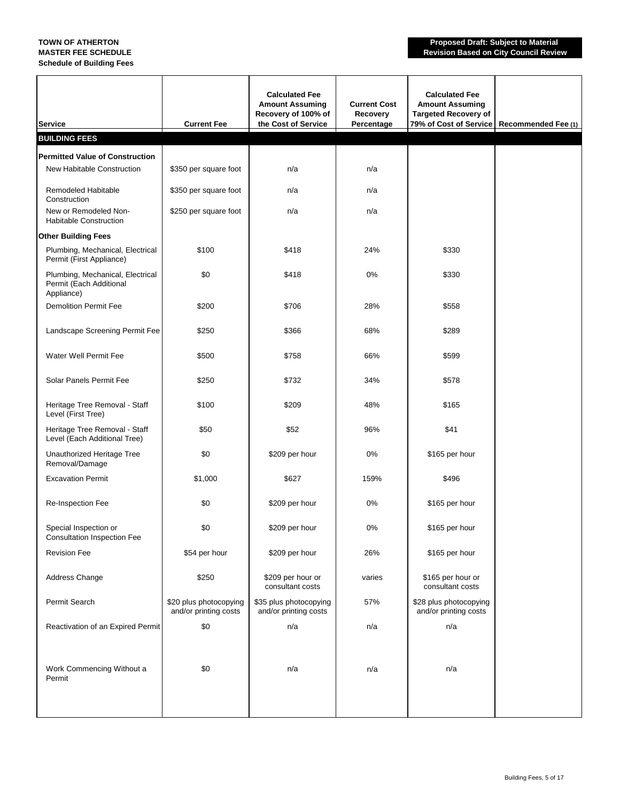### **Schedule of Building Fees**

**TOWN OF ATHERTON Proposed Draft: Subject to Material MASTER FEE SCHEDULE Revision Based on City Council Review**

| Service                                                                   | <b>Current Fee</b>                              | <b>Calculated Fee</b><br><b>Amount Assuming</b><br>Recovery of 100% of<br>the Cost of Service | <b>Current Cost</b><br>Recovery<br>Percentage | <b>Calculated Fee</b><br><b>Amount Assuming</b><br><b>Targeted Recovery of</b><br>79% of Cost of Service | Recommended Fee (1) |
|---------------------------------------------------------------------------|-------------------------------------------------|-----------------------------------------------------------------------------------------------|-----------------------------------------------|----------------------------------------------------------------------------------------------------------|---------------------|
| <b>BUILDING FEES</b>                                                      |                                                 |                                                                                               |                                               |                                                                                                          |                     |
| <b>Permitted Value of Construction</b>                                    |                                                 |                                                                                               |                                               |                                                                                                          |                     |
| New Habitable Construction                                                | \$350 per square foot                           | n/a                                                                                           | n/a                                           |                                                                                                          |                     |
| <b>Remodeled Habitable</b><br>Construction                                | \$350 per square foot                           | n/a                                                                                           | n/a                                           |                                                                                                          |                     |
| New or Remodeled Non-<br><b>Habitable Construction</b>                    | \$250 per square foot                           | n/a                                                                                           | n/a                                           |                                                                                                          |                     |
| <b>Other Building Fees</b>                                                |                                                 |                                                                                               |                                               |                                                                                                          |                     |
| Plumbing, Mechanical, Electrical<br>Permit (First Appliance)              | \$100                                           | \$418                                                                                         | 24%                                           | \$330                                                                                                    |                     |
| Plumbing, Mechanical, Electrical<br>Permit (Each Additional<br>Appliance) | \$0                                             | \$418                                                                                         | 0%                                            | \$330                                                                                                    |                     |
| <b>Demolition Permit Fee</b>                                              | \$200                                           | \$706                                                                                         | 28%                                           | \$558                                                                                                    |                     |
| Landscape Screening Permit Fee                                            | \$250                                           | \$366                                                                                         | 68%                                           | \$289                                                                                                    |                     |
| Water Well Permit Fee                                                     | \$500                                           | \$758                                                                                         | 66%                                           | \$599                                                                                                    |                     |
| Solar Panels Permit Fee                                                   | \$250                                           | \$732                                                                                         | 34%                                           | \$578                                                                                                    |                     |
| Heritage Tree Removal - Staff<br>Level (First Tree)                       | \$100                                           | \$209                                                                                         | 48%                                           | \$165                                                                                                    |                     |
| Heritage Tree Removal - Staff<br>Level (Each Additional Tree)             | \$50                                            | \$52                                                                                          | 96%                                           | \$41                                                                                                     |                     |
| Unauthorized Heritage Tree<br>Removal/Damage                              | \$0                                             | \$209 per hour                                                                                | 0%                                            | \$165 per hour                                                                                           |                     |
| <b>Excavation Permit</b>                                                  | \$1,000                                         | \$627                                                                                         | 159%                                          | \$496                                                                                                    |                     |
| Re-Inspection Fee                                                         | \$0                                             | \$209 per hour                                                                                | 0%                                            | \$165 per hour                                                                                           |                     |
| Special Inspection or<br><b>Consultation Inspection Fee</b>               | \$0                                             | \$209 per hour                                                                                | $0\%$                                         | \$165 per hour                                                                                           |                     |
| <b>Revision Fee</b>                                                       | \$54 per hour                                   | \$209 per hour                                                                                | 26%                                           | \$165 per hour                                                                                           |                     |
| Address Change                                                            | \$250                                           | \$209 per hour or<br>consultant costs                                                         | varies                                        | \$165 per hour or<br>consultant costs                                                                    |                     |
| Permit Search                                                             | \$20 plus photocopying<br>and/or printing costs | \$35 plus photocopying<br>and/or printing costs                                               | 57%                                           | \$28 plus photocopying<br>and/or printing costs                                                          |                     |
| Reactivation of an Expired Permit                                         | \$0                                             | n/a                                                                                           | n/a                                           | n/a                                                                                                      |                     |
| Work Commencing Without a<br>Permit                                       | \$0                                             | n/a                                                                                           | n/a                                           | n/a                                                                                                      |                     |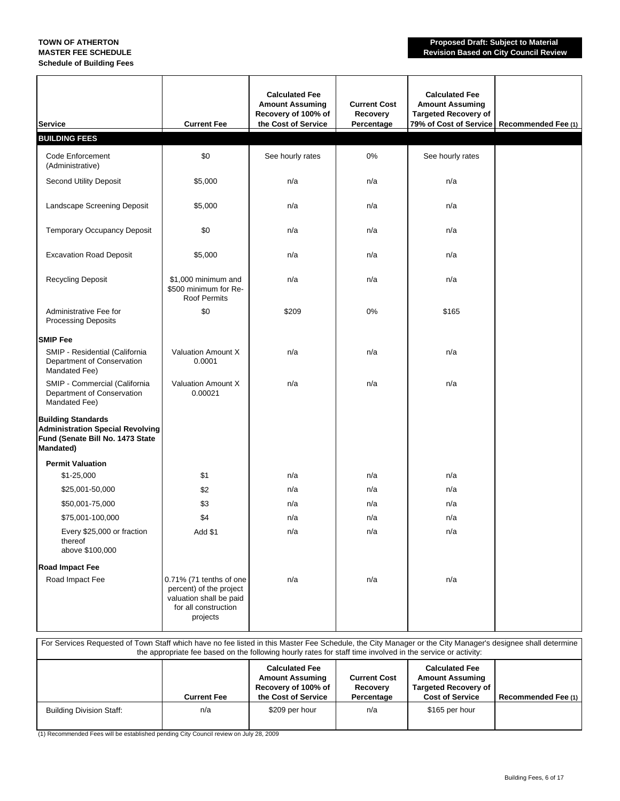## **Schedule of Building Fees**

**TOWN OF ATHERTON Proposed Draft: Subject to Material MASTER FEE SCHEDULE Revision Based on City Council Review**

| <b>Service</b>                                                                                                               | <b>Current Fee</b>                                                                                                | <b>Calculated Fee</b><br><b>Amount Assuming</b><br>Recovery of 100% of<br>the Cost of Service | <b>Current Cost</b><br>Recovery<br>Percentage | <b>Calculated Fee</b><br><b>Amount Assuming</b><br><b>Targeted Recovery of</b><br>79% of Cost of Service | Recommended Fee (1) |
|------------------------------------------------------------------------------------------------------------------------------|-------------------------------------------------------------------------------------------------------------------|-----------------------------------------------------------------------------------------------|-----------------------------------------------|----------------------------------------------------------------------------------------------------------|---------------------|
| <b>BUILDING FEES</b>                                                                                                         |                                                                                                                   |                                                                                               |                                               |                                                                                                          |                     |
| Code Enforcement<br>(Administrative)                                                                                         | \$0                                                                                                               | See hourly rates                                                                              | 0%                                            | See hourly rates                                                                                         |                     |
| <b>Second Utility Deposit</b>                                                                                                | \$5,000                                                                                                           | n/a                                                                                           | n/a                                           | n/a                                                                                                      |                     |
| Landscape Screening Deposit                                                                                                  | \$5,000                                                                                                           | n/a                                                                                           | n/a                                           | n/a                                                                                                      |                     |
| Temporary Occupancy Deposit                                                                                                  | \$0                                                                                                               | n/a                                                                                           | n/a                                           | n/a                                                                                                      |                     |
| <b>Excavation Road Deposit</b>                                                                                               | \$5,000                                                                                                           | n/a                                                                                           | n/a                                           | n/a                                                                                                      |                     |
| <b>Recycling Deposit</b>                                                                                                     | \$1,000 minimum and<br>\$500 minimum for Re-<br><b>Roof Permits</b>                                               | n/a                                                                                           | n/a                                           | n/a                                                                                                      |                     |
| Administrative Fee for<br><b>Processing Deposits</b>                                                                         | \$0                                                                                                               | \$209                                                                                         | 0%                                            | \$165                                                                                                    |                     |
| <b>SMIP Fee</b>                                                                                                              |                                                                                                                   |                                                                                               |                                               |                                                                                                          |                     |
| SMIP - Residential (California<br>Department of Conservation<br>Mandated Fee)                                                | Valuation Amount X<br>0.0001                                                                                      | n/a                                                                                           | n/a                                           | n/a                                                                                                      |                     |
| SMIP - Commercial (California<br>Department of Conservation<br>Mandated Fee)                                                 | Valuation Amount X<br>0.00021                                                                                     | n/a                                                                                           | n/a                                           | n/a                                                                                                      |                     |
| <b>Building Standards</b><br><b>Administration Special Revolving</b><br>Fund (Senate Bill No. 1473 State<br><b>Mandated)</b> |                                                                                                                   |                                                                                               |                                               |                                                                                                          |                     |
| <b>Permit Valuation</b>                                                                                                      |                                                                                                                   |                                                                                               |                                               |                                                                                                          |                     |
| $$1-25,000$                                                                                                                  | \$1                                                                                                               | n/a                                                                                           | n/a                                           | n/a                                                                                                      |                     |
| \$25,001-50,000                                                                                                              | \$2                                                                                                               | n/a                                                                                           | n/a                                           | n/a                                                                                                      |                     |
| \$50,001-75,000                                                                                                              | \$3                                                                                                               | n/a                                                                                           | n/a                                           | n/a                                                                                                      |                     |
| \$75,001-100,000                                                                                                             | \$4                                                                                                               | n/a                                                                                           | n/a                                           | n/a                                                                                                      |                     |
| Every \$25,000 or fraction<br>thereof<br>above \$100,000                                                                     | Add \$1                                                                                                           | n/a                                                                                           | n/a                                           | n/a                                                                                                      |                     |
| Road Impact Fee                                                                                                              |                                                                                                                   |                                                                                               |                                               |                                                                                                          |                     |
| Road Impact Fee                                                                                                              | 0.71% (71 tenths of one<br>percent) of the project<br>valuation shall be paid<br>for all construction<br>projects | n/a                                                                                           | n/a                                           | n/a                                                                                                      |                     |

| For Services Requested of Town Staff which have no fee listed in this Master Fee Schedule, the City Manager or the City Manager's designee shall determine<br>the appropriate fee based on the following hourly rates for staff time involved in the service or activity: |                    |                                                                                               |                                               |                                                                                                          |                     |
|---------------------------------------------------------------------------------------------------------------------------------------------------------------------------------------------------------------------------------------------------------------------------|--------------------|-----------------------------------------------------------------------------------------------|-----------------------------------------------|----------------------------------------------------------------------------------------------------------|---------------------|
|                                                                                                                                                                                                                                                                           | <b>Current Fee</b> | <b>Calculated Fee</b><br><b>Amount Assuming</b><br>Recovery of 100% of<br>the Cost of Service | <b>Current Cost</b><br>Recovery<br>Percentage | <b>Calculated Fee</b><br><b>Amount Assuming</b><br><b>Targeted Recovery of</b><br><b>Cost of Service</b> | Recommended Fee (1) |
| <b>Building Division Staff:</b>                                                                                                                                                                                                                                           | n/a                | \$209 per hour                                                                                | n/a                                           | \$165 per hour                                                                                           |                     |

(1) Recommended Fees will be established pending City Council review on July 28, 2009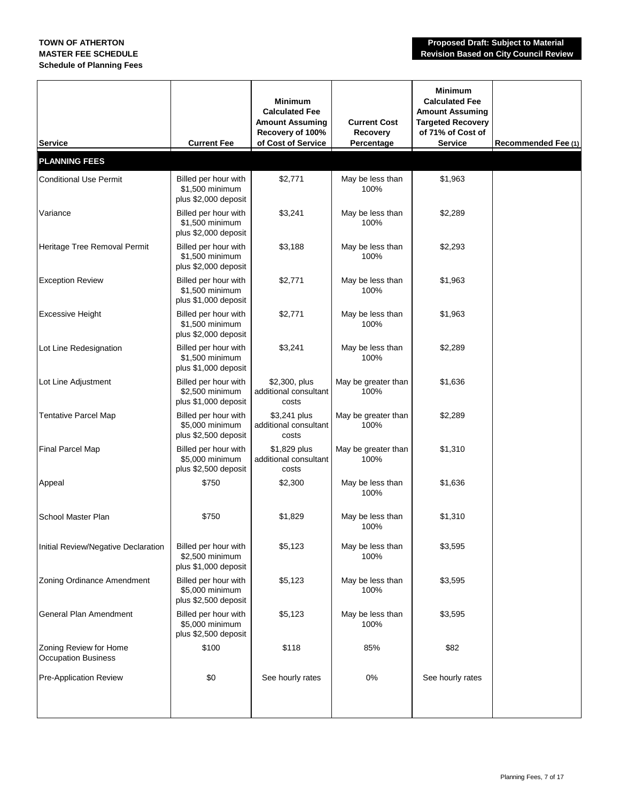| <b>Service</b>                                       | <b>Current Fee</b>                                              | <b>Minimum</b><br><b>Calculated Fee</b><br><b>Amount Assuming</b><br>Recovery of 100%<br>of Cost of Service | <b>Current Cost</b><br>Recovery<br>Percentage | <b>Minimum</b><br><b>Calculated Fee</b><br><b>Amount Assuming</b><br><b>Targeted Recovery</b><br>of 71% of Cost of<br><b>Service</b> | Recommended Fee (1) |
|------------------------------------------------------|-----------------------------------------------------------------|-------------------------------------------------------------------------------------------------------------|-----------------------------------------------|--------------------------------------------------------------------------------------------------------------------------------------|---------------------|
| <b>PLANNING FEES</b>                                 |                                                                 |                                                                                                             |                                               |                                                                                                                                      |                     |
| <b>Conditional Use Permit</b>                        | Billed per hour with<br>\$1,500 minimum<br>plus \$2,000 deposit | \$2,771                                                                                                     | May be less than<br>100%                      | \$1,963                                                                                                                              |                     |
| Variance                                             | Billed per hour with<br>\$1,500 minimum<br>plus \$2,000 deposit | \$3,241                                                                                                     | May be less than<br>100%                      | \$2,289                                                                                                                              |                     |
| Heritage Tree Removal Permit                         | Billed per hour with<br>\$1,500 minimum<br>plus \$2,000 deposit | \$3,188                                                                                                     | May be less than<br>100%                      | \$2,293                                                                                                                              |                     |
| <b>Exception Review</b>                              | Billed per hour with<br>\$1,500 minimum<br>plus \$1,000 deposit | \$2,771                                                                                                     | May be less than<br>100%                      | \$1,963                                                                                                                              |                     |
| <b>Excessive Height</b>                              | Billed per hour with<br>\$1,500 minimum<br>plus \$2,000 deposit | \$2,771                                                                                                     | May be less than<br>100%                      | \$1,963                                                                                                                              |                     |
| Lot Line Redesignation                               | Billed per hour with<br>\$1,500 minimum<br>plus \$1,000 deposit | \$3,241                                                                                                     | May be less than<br>100%                      | \$2,289                                                                                                                              |                     |
| Lot Line Adjustment                                  | Billed per hour with<br>\$2,500 minimum<br>plus \$1,000 deposit | \$2,300, plus<br>additional consultant<br>costs                                                             | May be greater than<br>100%                   | \$1,636                                                                                                                              |                     |
| <b>Tentative Parcel Map</b>                          | Billed per hour with<br>\$5,000 minimum<br>plus \$2,500 deposit | \$3,241 plus<br>additional consultant<br>costs                                                              | May be greater than<br>100%                   | \$2,289                                                                                                                              |                     |
| Final Parcel Map                                     | Billed per hour with<br>\$5,000 minimum<br>plus \$2,500 deposit | \$1,829 plus<br>additional consultant<br>costs                                                              | May be greater than<br>100%                   | \$1,310                                                                                                                              |                     |
| Appeal                                               | \$750                                                           | \$2,300                                                                                                     | May be less than<br>100%                      | \$1,636                                                                                                                              |                     |
| School Master Plan                                   | \$750                                                           | \$1,829                                                                                                     | May be less than<br>100%                      | \$1,310                                                                                                                              |                     |
| Initial Review/Negative Declaration                  | Billed per hour with<br>\$2,500 minimum<br>plus \$1,000 deposit | \$5,123                                                                                                     | May be less than<br>100%                      | \$3,595                                                                                                                              |                     |
| Zoning Ordinance Amendment                           | Billed per hour with<br>\$5,000 minimum<br>plus \$2,500 deposit | \$5,123                                                                                                     | May be less than<br>100%                      | \$3,595                                                                                                                              |                     |
| General Plan Amendment                               | Billed per hour with<br>\$5,000 minimum<br>plus \$2,500 deposit | \$5,123                                                                                                     | May be less than<br>100%                      | \$3,595                                                                                                                              |                     |
| Zoning Review for Home<br><b>Occupation Business</b> | \$100                                                           | \$118                                                                                                       | 85%                                           | \$82                                                                                                                                 |                     |
| Pre-Application Review                               | \$0                                                             | See hourly rates                                                                                            | 0%                                            | See hourly rates                                                                                                                     |                     |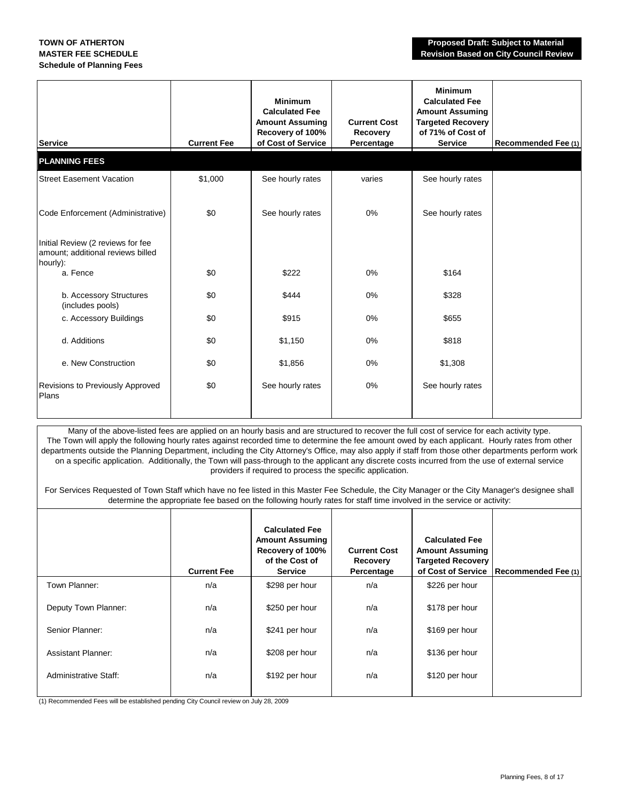| <b>Service</b>                                                                     | <b>Current Fee</b> | <b>Minimum</b><br><b>Calculated Fee</b><br><b>Amount Assuming</b><br>Recovery of 100%<br>of Cost of Service | <b>Current Cost</b><br>Recovery<br>Percentage | <b>Minimum</b><br><b>Calculated Fee</b><br><b>Amount Assuming</b><br><b>Targeted Recovery</b><br>of 71% of Cost of<br><b>Service</b> | Recommended Fee (1) |
|------------------------------------------------------------------------------------|--------------------|-------------------------------------------------------------------------------------------------------------|-----------------------------------------------|--------------------------------------------------------------------------------------------------------------------------------------|---------------------|
| <b>PLANNING FEES</b>                                                               |                    |                                                                                                             |                                               |                                                                                                                                      |                     |
| <b>Street Easement Vacation</b>                                                    | \$1,000            | See hourly rates                                                                                            | varies                                        | See hourly rates                                                                                                                     |                     |
| Code Enforcement (Administrative)                                                  | \$0                | See hourly rates                                                                                            | 0%                                            | See hourly rates                                                                                                                     |                     |
| Initial Review (2 reviews for fee<br>amount; additional reviews billed<br>hourly): |                    |                                                                                                             |                                               |                                                                                                                                      |                     |
| a. Fence                                                                           | \$0                | \$222                                                                                                       | 0%                                            | \$164                                                                                                                                |                     |
| b. Accessory Structures<br>(includes pools)                                        | \$0                | \$444                                                                                                       | $0\%$                                         | \$328                                                                                                                                |                     |
| c. Accessory Buildings                                                             | \$0                | \$915                                                                                                       | $0\%$                                         | \$655                                                                                                                                |                     |
| d. Additions                                                                       | \$0                | \$1,150                                                                                                     | 0%                                            | \$818                                                                                                                                |                     |
| e. New Construction                                                                | \$0                | \$1,856                                                                                                     | 0%                                            | \$1,308                                                                                                                              |                     |
| Revisions to Previously Approved<br>Plans                                          | \$0                | See hourly rates                                                                                            | $0\%$                                         | See hourly rates                                                                                                                     |                     |

Many of the above-listed fees are applied on an hourly basis and are structured to recover the full cost of service for each activity type. The Town will apply the following hourly rates against recorded time to determine the fee amount owed by each applicant. Hourly rates from other departments outside the Planning Department, including the City Attorney's Office, may also apply if staff from those other departments perform work on a specific application. Additionally, the Town will pass-through to the applicant any discrete costs incurred from the use of external service providers if required to process the specific application.

For Services Requested of Town Staff which have no fee listed in this Master Fee Schedule, the City Manager or the City Manager's designee shall determine the appropriate fee based on the following hourly rates for staff time involved in the service or activity:

|                              | <b>Current Fee</b> | <b>Calculated Fee</b><br><b>Amount Assuming</b><br>Recovery of 100%<br>of the Cost of<br><b>Service</b> | <b>Current Cost</b><br>Recovery<br>Percentage | <b>Calculated Fee</b><br><b>Amount Assuming</b><br><b>Targeted Recovery</b><br>of Cost of Service | Recommended Fee (1) |
|------------------------------|--------------------|---------------------------------------------------------------------------------------------------------|-----------------------------------------------|---------------------------------------------------------------------------------------------------|---------------------|
| Town Planner:                | n/a                | \$298 per hour                                                                                          | n/a                                           | \$226 per hour                                                                                    |                     |
| Deputy Town Planner:         | n/a                | \$250 per hour                                                                                          | n/a                                           | \$178 per hour                                                                                    |                     |
| Senior Planner:              | n/a                | \$241 per hour                                                                                          | n/a                                           | \$169 per hour                                                                                    |                     |
| <b>Assistant Planner:</b>    | n/a                | \$208 per hour                                                                                          | n/a                                           | \$136 per hour                                                                                    |                     |
| <b>Administrative Staff:</b> | n/a                | \$192 per hour                                                                                          | n/a                                           | \$120 per hour                                                                                    |                     |
|                              |                    |                                                                                                         |                                               |                                                                                                   |                     |

(1) Recommended Fees will be established pending City Council review on July 28, 2009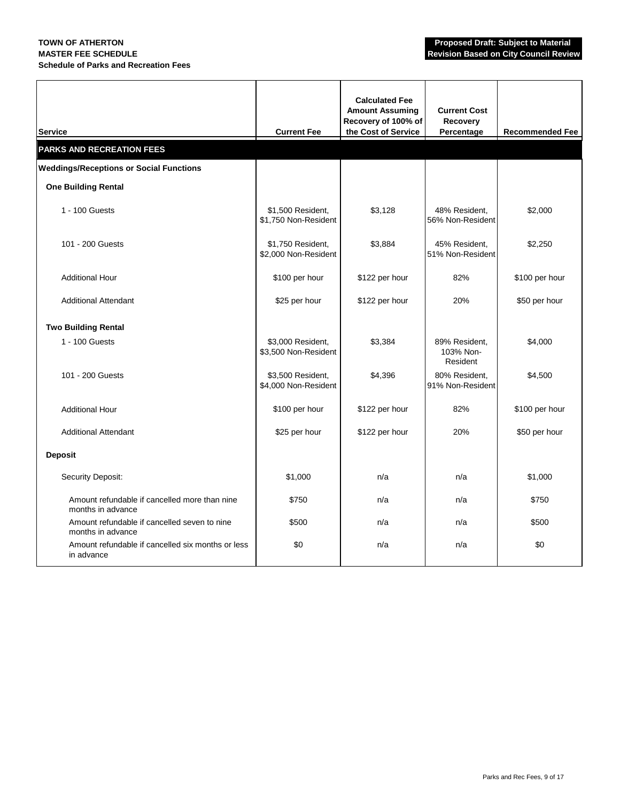### **MASTER FEE SCHEDULE Revision Based on City Council Review Schedule of Parks and Recreation Fees**

| <b>Service</b>                                                     | <b>Current Fee</b>                        | <b>Calculated Fee</b><br><b>Amount Assuming</b><br>Recovery of 100% of<br>the Cost of Service | <b>Current Cost</b><br>Recovery<br>Percentage | <b>Recommended Fee</b> |
|--------------------------------------------------------------------|-------------------------------------------|-----------------------------------------------------------------------------------------------|-----------------------------------------------|------------------------|
| <b>PARKS AND RECREATION FEES</b>                                   |                                           |                                                                                               |                                               |                        |
| <b>Weddings/Receptions or Social Functions</b>                     |                                           |                                                                                               |                                               |                        |
| <b>One Building Rental</b>                                         |                                           |                                                                                               |                                               |                        |
| 1 - 100 Guests                                                     | \$1,500 Resident,<br>\$1,750 Non-Resident | \$3,128                                                                                       | 48% Resident,<br>56% Non-Resident             | \$2,000                |
| 101 - 200 Guests                                                   | \$1,750 Resident,<br>\$2,000 Non-Resident | \$3,884                                                                                       | 45% Resident,<br>51% Non-Resident             | \$2,250                |
| <b>Additional Hour</b>                                             | \$100 per hour                            | \$122 per hour                                                                                | 82%                                           | \$100 per hour         |
| <b>Additional Attendant</b>                                        | \$25 per hour                             | \$122 per hour                                                                                | 20%                                           | \$50 per hour          |
| <b>Two Building Rental</b>                                         |                                           |                                                                                               |                                               |                        |
| 1 - 100 Guests                                                     | \$3,000 Resident,<br>\$3,500 Non-Resident | \$3,384                                                                                       | 89% Resident.<br>103% Non-<br>Resident        | \$4,000                |
| 101 - 200 Guests                                                   | \$3,500 Resident,<br>\$4,000 Non-Resident | \$4,396                                                                                       | 80% Resident,<br>91% Non-Resident             | \$4,500                |
| <b>Additional Hour</b>                                             | \$100 per hour                            | \$122 per hour                                                                                | 82%                                           | \$100 per hour         |
| <b>Additional Attendant</b>                                        | \$25 per hour                             | \$122 per hour                                                                                | 20%                                           | \$50 per hour          |
| <b>Deposit</b>                                                     |                                           |                                                                                               |                                               |                        |
| Security Deposit:                                                  | \$1,000                                   | n/a                                                                                           | n/a                                           | \$1,000                |
| Amount refundable if cancelled more than nine<br>months in advance | \$750                                     | n/a                                                                                           | n/a                                           | \$750                  |
| Amount refundable if cancelled seven to nine<br>months in advance  | \$500                                     | n/a                                                                                           | n/a                                           | \$500                  |
| Amount refundable if cancelled six months or less<br>in advance    | \$0                                       | n/a                                                                                           | n/a                                           | \$0                    |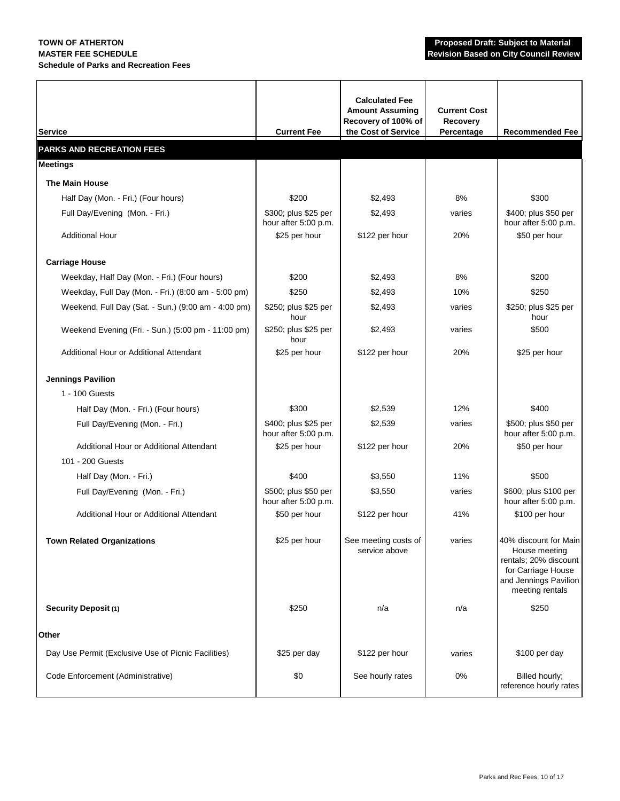### **MASTER FEE SCHEDULE Revision Based on City Council Review Schedule of Parks and Recreation Fees**

| <b>Service</b>                                      | <b>Current Fee</b>                           | <b>Calculated Fee</b><br><b>Amount Assuming</b><br>Recovery of 100% of<br>the Cost of Service | <b>Current Cost</b><br>Recovery<br>Percentage | <b>Recommended Fee</b>                                                                                                            |
|-----------------------------------------------------|----------------------------------------------|-----------------------------------------------------------------------------------------------|-----------------------------------------------|-----------------------------------------------------------------------------------------------------------------------------------|
| <b>PARKS AND RECREATION FEES</b>                    |                                              |                                                                                               |                                               |                                                                                                                                   |
| <b>Meetings</b>                                     |                                              |                                                                                               |                                               |                                                                                                                                   |
| <b>The Main House</b>                               |                                              |                                                                                               |                                               |                                                                                                                                   |
| Half Day (Mon. - Fri.) (Four hours)                 | \$200                                        | \$2,493                                                                                       | 8%                                            | \$300                                                                                                                             |
| Full Day/Evening (Mon. - Fri.)                      | \$300; plus \$25 per<br>hour after 5:00 p.m. | \$2,493                                                                                       | varies                                        | \$400; plus \$50 per<br>hour after 5:00 p.m.                                                                                      |
| <b>Additional Hour</b>                              | \$25 per hour                                | \$122 per hour                                                                                | 20%                                           | \$50 per hour                                                                                                                     |
| <b>Carriage House</b>                               |                                              |                                                                                               |                                               |                                                                                                                                   |
| Weekday, Half Day (Mon. - Fri.) (Four hours)        | \$200                                        | \$2,493                                                                                       | 8%                                            | \$200                                                                                                                             |
| Weekday, Full Day (Mon. - Fri.) (8:00 am - 5:00 pm) | \$250                                        | \$2,493                                                                                       | 10%                                           | \$250                                                                                                                             |
| Weekend, Full Day (Sat. - Sun.) (9:00 am - 4:00 pm) | \$250; plus \$25 per<br>hour                 | \$2,493                                                                                       | varies                                        | \$250; plus \$25 per<br>hour                                                                                                      |
| Weekend Evening (Fri. - Sun.) (5:00 pm - 11:00 pm)  | \$250; plus \$25 per<br>hour                 | \$2,493                                                                                       | varies                                        | \$500                                                                                                                             |
| Additional Hour or Additional Attendant             | \$25 per hour                                | \$122 per hour                                                                                | 20%                                           | \$25 per hour                                                                                                                     |
| <b>Jennings Pavilion</b>                            |                                              |                                                                                               |                                               |                                                                                                                                   |
| 1 - 100 Guests                                      |                                              |                                                                                               |                                               |                                                                                                                                   |
| Half Day (Mon. - Fri.) (Four hours)                 | \$300                                        | \$2,539                                                                                       | 12%                                           | \$400                                                                                                                             |
| Full Day/Evening (Mon. - Fri.)                      | \$400; plus \$25 per<br>hour after 5:00 p.m. | \$2,539                                                                                       | varies                                        | \$500; plus \$50 per<br>hour after 5:00 p.m.                                                                                      |
| Additional Hour or Additional Attendant             | \$25 per hour                                | \$122 per hour                                                                                | 20%                                           | \$50 per hour                                                                                                                     |
| 101 - 200 Guests                                    |                                              |                                                                                               |                                               |                                                                                                                                   |
| Half Day (Mon. - Fri.)                              | \$400                                        | \$3,550                                                                                       | 11%                                           | \$500                                                                                                                             |
| Full Day/Evening (Mon. - Fri.)                      | \$500; plus \$50 per<br>hour after 5:00 p.m. | \$3,550                                                                                       | varies                                        | \$600; plus \$100 per<br>hour after 5:00 p.m.                                                                                     |
| Additional Hour or Additional Attendant             | \$50 per hour                                | \$122 per hour                                                                                | 41%                                           | \$100 per hour                                                                                                                    |
| <b>Town Related Organizations</b>                   | \$25 per hour                                | See meeting costs of<br>service above                                                         | varies                                        | 40% discount for Main<br>House meeting<br>rentals; 20% discount<br>for Carriage House<br>and Jennings Pavilion<br>meeting rentals |
| <b>Security Deposit (1)</b>                         | \$250                                        | n/a                                                                                           | n/a                                           | \$250                                                                                                                             |
| Other                                               |                                              |                                                                                               |                                               |                                                                                                                                   |
| Day Use Permit (Exclusive Use of Picnic Facilities) | \$25 per day                                 | \$122 per hour                                                                                | varies                                        | \$100 per day                                                                                                                     |
| Code Enforcement (Administrative)                   | \$0                                          | See hourly rates                                                                              | $0\%$                                         | Billed hourly;<br>reference hourly rates                                                                                          |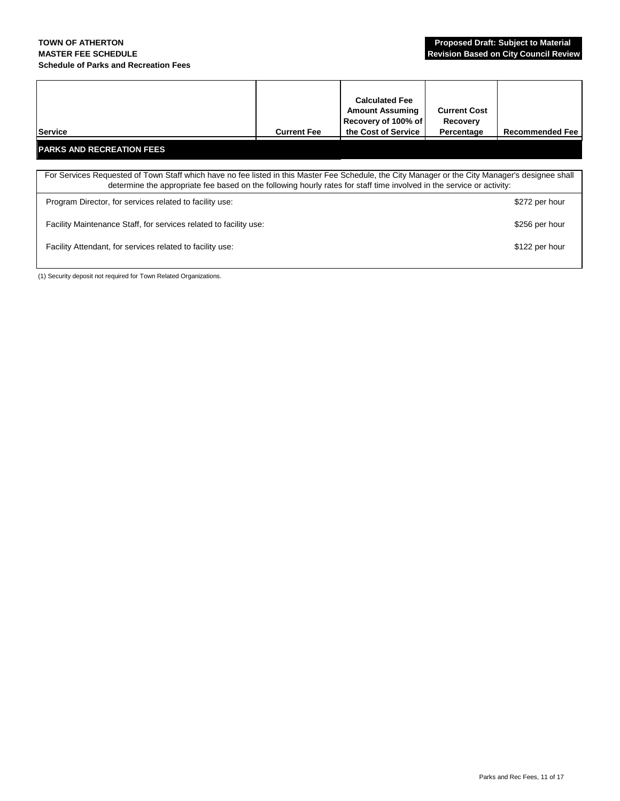#### **TOWN OF ATHERTON Proposed Draft: Subject to Material MASTER FEE SCHEDULE Revision Based on City Council Review Schedule of Parks and Recreation Fees**

| Service                                                                                                                                                                                                                                                                   | <b>Current Fee</b> | <b>Calculated Fee</b><br><b>Amount Assuming</b><br>Recovery of 100% of<br>the Cost of Service | <b>Current Cost</b><br>Recovery<br>Percentage | <b>Recommended Fee</b> |  |  |
|---------------------------------------------------------------------------------------------------------------------------------------------------------------------------------------------------------------------------------------------------------------------------|--------------------|-----------------------------------------------------------------------------------------------|-----------------------------------------------|------------------------|--|--|
| <b>PARKS AND RECREATION FEES</b>                                                                                                                                                                                                                                          |                    |                                                                                               |                                               |                        |  |  |
| For Services Requested of Town Staff which have no fee listed in this Master Fee Schedule, the City Manager or the City Manager's designee shall<br>determine the appropriate fee based on the following hourly rates for staff time involved in the service or activity: |                    |                                                                                               |                                               |                        |  |  |
| Program Director, for services related to facility use:                                                                                                                                                                                                                   |                    |                                                                                               |                                               | \$272 per hour         |  |  |
| Facility Maintenance Staff, for services related to facility use:                                                                                                                                                                                                         |                    |                                                                                               |                                               |                        |  |  |
| Facility Attendant, for services related to facility use:                                                                                                                                                                                                                 |                    |                                                                                               |                                               | \$122 per hour         |  |  |
|                                                                                                                                                                                                                                                                           |                    |                                                                                               |                                               |                        |  |  |

(1) Security deposit not required for Town Related Organizations.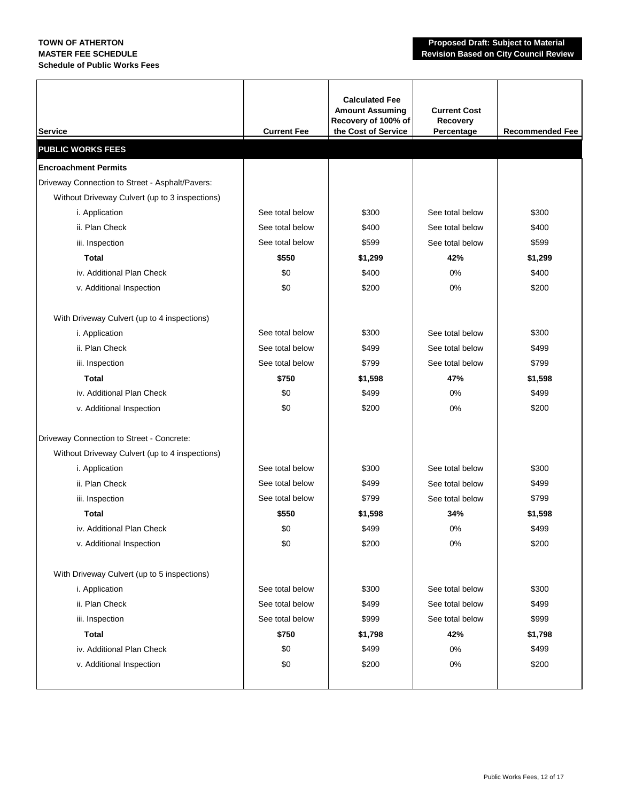| <b>Service</b>                                  | <b>Current Fee</b> | <b>Calculated Fee</b><br><b>Amount Assuming</b><br>Recovery of 100% of<br>the Cost of Service | <b>Current Cost</b><br>Recovery<br>Percentage | <b>Recommended Fee</b> |
|-------------------------------------------------|--------------------|-----------------------------------------------------------------------------------------------|-----------------------------------------------|------------------------|
| <b>PUBLIC WORKS FEES</b>                        |                    |                                                                                               |                                               |                        |
| <b>Encroachment Permits</b>                     |                    |                                                                                               |                                               |                        |
| Driveway Connection to Street - Asphalt/Pavers: |                    |                                                                                               |                                               |                        |
| Without Driveway Culvert (up to 3 inspections)  |                    |                                                                                               |                                               |                        |
| i. Application                                  | See total below    | \$300                                                                                         | See total below                               | \$300                  |
| ii. Plan Check                                  | See total below    | \$400                                                                                         | See total below                               | \$400                  |
| iii. Inspection                                 | See total below    | \$599                                                                                         | See total below                               | \$599                  |
| <b>Total</b>                                    | \$550              | \$1,299                                                                                       | 42%                                           | \$1,299                |
| iv. Additional Plan Check                       | \$0                | \$400                                                                                         | 0%                                            | \$400                  |
| v. Additional Inspection                        | \$0                | \$200                                                                                         | 0%                                            | \$200                  |
| With Driveway Culvert (up to 4 inspections)     |                    |                                                                                               |                                               |                        |
| i. Application                                  | See total below    | \$300                                                                                         | See total below                               | \$300                  |
| ii. Plan Check                                  | See total below    | \$499                                                                                         | See total below                               | \$499                  |
| iii. Inspection                                 | See total below    | \$799                                                                                         | See total below                               | \$799                  |
| <b>Total</b>                                    | \$750              | \$1,598                                                                                       | 47%                                           | \$1,598                |
| iv. Additional Plan Check                       | \$0                | \$499                                                                                         | 0%                                            | \$499                  |
| v. Additional Inspection                        | \$0                | \$200                                                                                         | 0%                                            | \$200                  |
| Driveway Connection to Street - Concrete:       |                    |                                                                                               |                                               |                        |
| Without Driveway Culvert (up to 4 inspections)  |                    |                                                                                               |                                               |                        |
| i. Application                                  | See total below    | \$300                                                                                         | See total below                               | \$300                  |
| ii. Plan Check                                  | See total below    | \$499                                                                                         | See total below                               | \$499                  |
| iii. Inspection                                 | See total below    | \$799                                                                                         | See total below                               | \$799                  |
| <b>Total</b>                                    | \$550              | \$1,598                                                                                       | 34%                                           | \$1,598                |
| iv. Additional Plan Check                       | \$0                | \$499                                                                                         | 0%                                            | \$499                  |
| v. Additional Inspection                        | \$0                | \$200                                                                                         | 0%                                            | \$200                  |
| With Driveway Culvert (up to 5 inspections)     |                    |                                                                                               |                                               |                        |
| i. Application                                  | See total below    | \$300                                                                                         | See total below                               | \$300                  |
| ii. Plan Check                                  | See total below    | \$499                                                                                         | See total below                               | \$499                  |
| iii. Inspection                                 | See total below    | \$999                                                                                         | See total below                               | \$999                  |
| <b>Total</b>                                    | \$750              | \$1,798                                                                                       | 42%                                           | \$1,798                |
| iv. Additional Plan Check                       | \$0                | \$499                                                                                         | $0\%$                                         | \$499                  |
| v. Additional Inspection                        | \$0                | \$200                                                                                         | $0\%$                                         | \$200                  |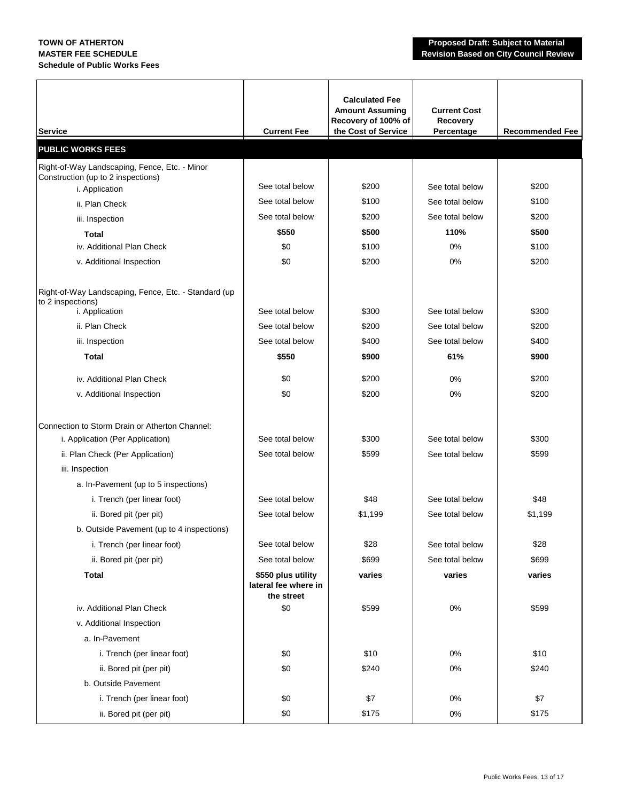| <b>Service</b>                                                                     | <b>Current Fee</b>                                       | <b>Calculated Fee</b><br><b>Amount Assuming</b><br>Recovery of 100% of<br>the Cost of Service | <b>Current Cost</b><br>Recovery<br>Percentage | <b>Recommended Fee</b> |
|------------------------------------------------------------------------------------|----------------------------------------------------------|-----------------------------------------------------------------------------------------------|-----------------------------------------------|------------------------|
| <b>PUBLIC WORKS FEES</b>                                                           |                                                          |                                                                                               |                                               |                        |
| Right-of-Way Landscaping, Fence, Etc. - Minor                                      |                                                          |                                                                                               |                                               |                        |
| Construction (up to 2 inspections)<br>i. Application                               | See total below                                          | \$200                                                                                         | See total below                               | \$200                  |
| ii. Plan Check                                                                     | See total below                                          | \$100                                                                                         | See total below                               | \$100                  |
| iii. Inspection                                                                    | See total below                                          | \$200                                                                                         | See total below                               | \$200                  |
| Total                                                                              | \$550                                                    | \$500                                                                                         | 110%                                          | \$500                  |
| iv. Additional Plan Check                                                          | \$0                                                      | \$100                                                                                         | 0%                                            | \$100                  |
| v. Additional Inspection                                                           | \$0                                                      | \$200                                                                                         | 0%                                            | \$200                  |
| Right-of-Way Landscaping, Fence, Etc. - Standard (up<br>to 2 inspections)          |                                                          |                                                                                               |                                               |                        |
| i. Application                                                                     | See total below                                          | \$300                                                                                         | See total below                               | \$300                  |
| ii. Plan Check                                                                     | See total below                                          | \$200                                                                                         | See total below                               | \$200                  |
| iii. Inspection                                                                    | See total below                                          | \$400                                                                                         | See total below                               | \$400                  |
| <b>Total</b>                                                                       | \$550                                                    | \$900                                                                                         | 61%                                           | \$900                  |
| iv. Additional Plan Check                                                          | \$0                                                      | \$200                                                                                         | 0%                                            | \$200                  |
| v. Additional Inspection                                                           | \$0                                                      | \$200                                                                                         | 0%                                            | \$200                  |
| Connection to Storm Drain or Atherton Channel:<br>i. Application (Per Application) | See total below                                          | \$300                                                                                         | See total below                               | \$300                  |
| ii. Plan Check (Per Application)                                                   | See total below                                          | \$599                                                                                         | See total below                               | \$599                  |
| iii. Inspection                                                                    |                                                          |                                                                                               |                                               |                        |
| a. In-Pavement (up to 5 inspections)                                               |                                                          |                                                                                               |                                               |                        |
| i. Trench (per linear foot)                                                        | See total below                                          | \$48                                                                                          | See total below                               | \$48                   |
| ii. Bored pit (per pit)                                                            | See total below                                          | \$1,199                                                                                       | See total below                               | \$1,199                |
| b. Outside Pavement (up to 4 inspections)                                          |                                                          |                                                                                               |                                               |                        |
| i. Trench (per linear foot)                                                        | See total below                                          | \$28                                                                                          | See total below                               | \$28                   |
| ii. Bored pit (per pit)                                                            | See total below                                          | \$699                                                                                         | See total below                               | \$699                  |
| <b>Total</b>                                                                       | \$550 plus utility<br>lateral fee where in<br>the street | varies                                                                                        | varies                                        | varies                 |
| iv. Additional Plan Check                                                          | \$0                                                      | \$599                                                                                         | $0\%$                                         | \$599                  |
| v. Additional Inspection                                                           |                                                          |                                                                                               |                                               |                        |
| a. In-Pavement                                                                     |                                                          |                                                                                               |                                               |                        |
| i. Trench (per linear foot)                                                        | \$0                                                      | \$10                                                                                          | $0\%$                                         | \$10                   |
| ii. Bored pit (per pit)                                                            | \$0                                                      | \$240                                                                                         | $0\%$                                         | \$240                  |
| b. Outside Pavement                                                                |                                                          |                                                                                               |                                               |                        |
| i. Trench (per linear foot)                                                        | \$0                                                      | \$7                                                                                           | 0%                                            | \$7                    |
| ii. Bored pit (per pit)                                                            | \$0                                                      | \$175                                                                                         | $0\%$                                         | \$175                  |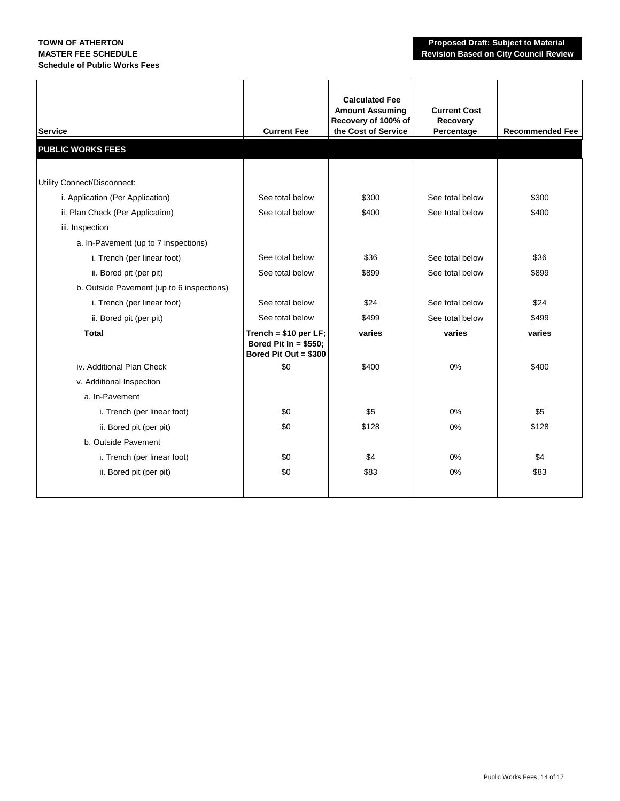| <b>Service</b>                            | <b>Current Fee</b>                                                        | <b>Calculated Fee</b><br><b>Amount Assuming</b><br>Recovery of 100% of<br>the Cost of Service | <b>Current Cost</b><br>Recovery<br>Percentage | <b>Recommended Fee</b> |
|-------------------------------------------|---------------------------------------------------------------------------|-----------------------------------------------------------------------------------------------|-----------------------------------------------|------------------------|
| <b>PUBLIC WORKS FEES</b>                  |                                                                           |                                                                                               |                                               |                        |
|                                           |                                                                           |                                                                                               |                                               |                        |
| Utility Connect/Disconnect:               |                                                                           |                                                                                               |                                               |                        |
| i. Application (Per Application)          | See total below                                                           | \$300                                                                                         | See total below                               | \$300                  |
| ii. Plan Check (Per Application)          | See total below                                                           | \$400                                                                                         | See total below                               | \$400                  |
| iii. Inspection                           |                                                                           |                                                                                               |                                               |                        |
| a. In-Pavement (up to 7 inspections)      |                                                                           |                                                                                               |                                               |                        |
| i. Trench (per linear foot)               | See total below                                                           | \$36                                                                                          | See total below                               | \$36                   |
| ii. Bored pit (per pit)                   | See total below                                                           | \$899                                                                                         | See total below                               | \$899                  |
| b. Outside Pavement (up to 6 inspections) |                                                                           |                                                                                               |                                               |                        |
| i. Trench (per linear foot)               | See total below                                                           | \$24                                                                                          | See total below                               | \$24                   |
| ii. Bored pit (per pit)                   | See total below                                                           | \$499                                                                                         | See total below                               | \$499                  |
| <b>Total</b>                              | Trench = $$10$ per LF;<br>Bored Pit In = $$550;$<br>Bored Pit Out = \$300 | varies                                                                                        | varies                                        | varies                 |
| iv. Additional Plan Check                 | \$0                                                                       | \$400                                                                                         | 0%                                            | \$400                  |
| v. Additional Inspection                  |                                                                           |                                                                                               |                                               |                        |
| a. In-Pavement                            |                                                                           |                                                                                               |                                               |                        |
| i. Trench (per linear foot)               | \$0                                                                       | \$5                                                                                           | 0%                                            | \$5                    |
| ii. Bored pit (per pit)                   | \$0                                                                       | \$128                                                                                         | 0%                                            | \$128                  |
| b. Outside Pavement                       |                                                                           |                                                                                               |                                               |                        |
| i. Trench (per linear foot)               | \$0                                                                       | \$4                                                                                           | $0\%$                                         | \$4                    |
| ii. Bored pit (per pit)                   | \$0                                                                       | \$83                                                                                          | 0%                                            | \$83                   |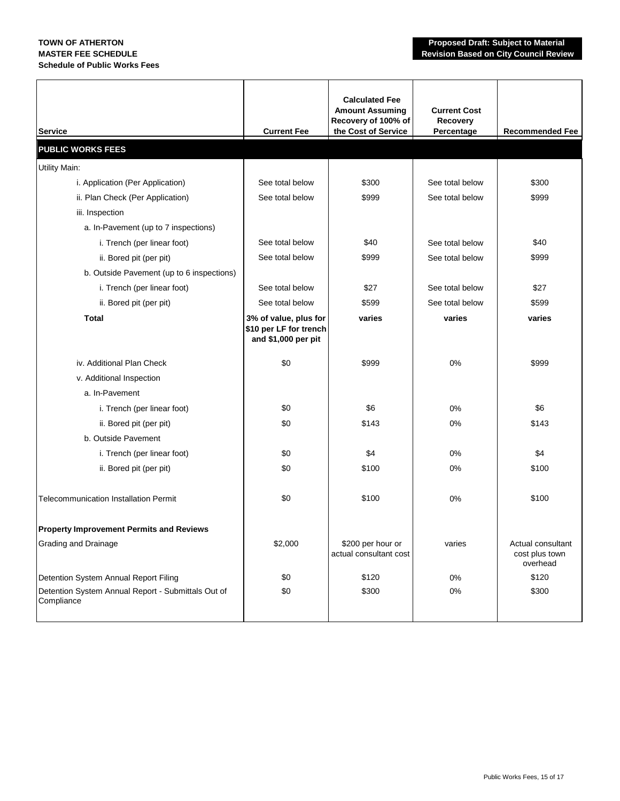| <b>Service</b>                                                   | <b>Current Fee</b>                                                     | <b>Calculated Fee</b><br><b>Amount Assuming</b><br>Recovery of 100% of<br>the Cost of Service | <b>Current Cost</b><br>Recovery<br>Percentage | <b>Recommended Fee</b>                          |
|------------------------------------------------------------------|------------------------------------------------------------------------|-----------------------------------------------------------------------------------------------|-----------------------------------------------|-------------------------------------------------|
| <b>PUBLIC WORKS FEES</b>                                         |                                                                        |                                                                                               |                                               |                                                 |
| <b>Utility Main:</b>                                             |                                                                        |                                                                                               |                                               |                                                 |
| i. Application (Per Application)                                 | See total below                                                        | \$300                                                                                         | See total below                               | \$300                                           |
| ii. Plan Check (Per Application)                                 | See total below                                                        | \$999                                                                                         | See total below                               | \$999                                           |
| iii. Inspection                                                  |                                                                        |                                                                                               |                                               |                                                 |
| a. In-Pavement (up to 7 inspections)                             |                                                                        |                                                                                               |                                               |                                                 |
| i. Trench (per linear foot)                                      | See total below                                                        | \$40                                                                                          | See total below                               | \$40                                            |
| ii. Bored pit (per pit)                                          | See total below                                                        | \$999                                                                                         | See total below                               | \$999                                           |
| b. Outside Pavement (up to 6 inspections)                        |                                                                        |                                                                                               |                                               |                                                 |
| i. Trench (per linear foot)                                      | See total below                                                        | \$27                                                                                          | See total below                               | \$27                                            |
| ii. Bored pit (per pit)                                          | See total below                                                        | \$599                                                                                         | See total below                               | \$599                                           |
| Total                                                            | 3% of value, plus for<br>\$10 per LF for trench<br>and \$1,000 per pit | varies                                                                                        | varies                                        | varies                                          |
| iv. Additional Plan Check                                        | \$0                                                                    | \$999                                                                                         | 0%                                            | \$999                                           |
| v. Additional Inspection                                         |                                                                        |                                                                                               |                                               |                                                 |
| a. In-Pavement                                                   |                                                                        |                                                                                               |                                               |                                                 |
| i. Trench (per linear foot)                                      | \$0                                                                    | \$6                                                                                           | 0%                                            | \$6                                             |
| ii. Bored pit (per pit)                                          | \$0                                                                    | \$143                                                                                         | 0%                                            | \$143                                           |
| b. Outside Pavement                                              |                                                                        |                                                                                               |                                               |                                                 |
| i. Trench (per linear foot)                                      | \$0                                                                    | \$4                                                                                           | 0%                                            | \$4                                             |
| ii. Bored pit (per pit)                                          | \$0                                                                    | \$100                                                                                         | $0\%$                                         | \$100                                           |
| <b>Telecommunication Installation Permit</b>                     | \$0                                                                    | \$100                                                                                         | 0%                                            | \$100                                           |
| <b>Property Improvement Permits and Reviews</b>                  |                                                                        |                                                                                               |                                               |                                                 |
| <b>Grading and Drainage</b>                                      | \$2,000                                                                | \$200 per hour or<br>actual consultant cost                                                   | varies                                        | Actual consultant<br>cost plus town<br>overhead |
| Detention System Annual Report Filing                            | \$0                                                                    | \$120                                                                                         | 0%                                            | \$120                                           |
| Detention System Annual Report - Submittals Out of<br>Compliance | \$0                                                                    | \$300                                                                                         | 0%                                            | \$300                                           |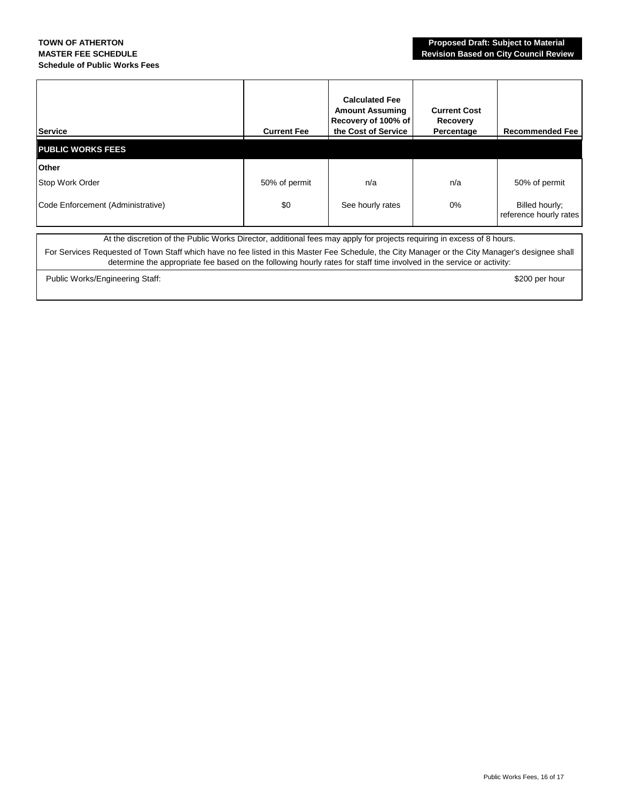| <b>Service</b>                    | <b>Current Fee</b> | <b>Calculated Fee</b><br><b>Amount Assuming</b><br>Recovery of 100% of<br>the Cost of Service | <b>Current Cost</b><br>Recovery<br>Percentage | <b>Recommended Fee</b>                   |
|-----------------------------------|--------------------|-----------------------------------------------------------------------------------------------|-----------------------------------------------|------------------------------------------|
| <b>PUBLIC WORKS FEES</b>          |                    |                                                                                               |                                               |                                          |
| <b>Other</b>                      |                    |                                                                                               |                                               |                                          |
| Stop Work Order                   | 50% of permit      | n/a                                                                                           | n/a                                           | 50% of permit                            |
| Code Enforcement (Administrative) | \$0                | See hourly rates                                                                              | $0\%$                                         | Billed hourly;<br>reference hourly rates |

At the discretion of the Public Works Director, additional fees may apply for projects requiring in excess of 8 hours.

For Services Requested of Town Staff which have no fee listed in this Master Fee Schedule, the City Manager or the City Manager's designee shall determine the appropriate fee based on the following hourly rates for staff time involved in the service or activity:

Public Works/Engineering Staff:  $\frac{1}{200}$  per hour